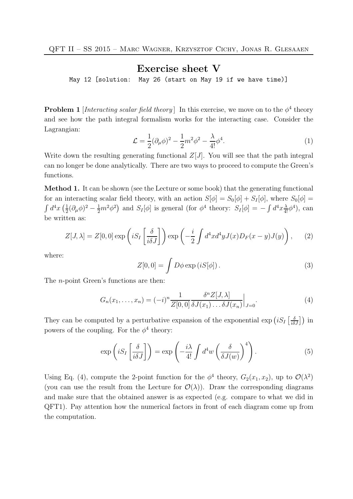## Exercise sheet V

May 12 [solution: May 26 (start on May 19 if we have time)]

**Problem 1** [Interacting scalar field theory] In this exercise, we move on to the  $\phi^4$  theory and see how the path integral formalism works for the interacting case. Consider the Lagrangian:

$$
\mathcal{L} = \frac{1}{2} (\partial_{\mu} \phi)^2 - \frac{1}{2} m^2 \phi^2 - \frac{\lambda}{4!} \phi^4.
$$
 (1)

Write down the resulting generating functional  $Z[J]$ . You will see that the path integral can no longer be done analytically. There are two ways to proceed to compute the Green's functions.

Method 1. It can be shown (see the Lecture or some book) that the generating functional for an interacting scalar field theory, with an action  $S[\phi] = S_0[\phi] + S_I[\phi]$ , where  $S_0[\phi] =$  $\int d^4x \left(\frac{1}{2}\right)$  $\frac{1}{2}(\partial_{\mu}\phi)^{2} - \frac{1}{2}m^{2}\phi^{2}$  and  $S_{I}[\phi]$  is general (for  $\phi^{4}$  theory:  $S_{I}[\phi] = -\int d^{4}x \frac{\lambda}{4!}\phi^{4}$ ), can be written as:

$$
Z[J,\lambda] = Z[0,0] \exp\left(iS_I\left[\frac{\delta}{i\delta J}\right]\right) \exp\left(-\frac{i}{2}\int d^4x d^4y J(x)D_F(x-y)J(y)\right),\tag{2}
$$

where:

$$
Z[0,0] = \int D\phi \exp(iS[\phi]).
$$
 (3)

The n-point Green's functions are then:

$$
G_n(x_1,\ldots,x_n) = (-i)^n \frac{1}{Z[0,0]} \frac{\delta^n Z[J,\lambda]}{\delta J(x_1)\ldots\delta J(x_n)}\Big|_{J=0}.
$$
 (4)

They can be computed by a perturbative expansion of the exponential  $\exp\left(iS_I\left[\frac{\delta}{i\delta J}\right]\right)$  in powers of the coupling. For the  $\phi^4$  theory:

$$
\exp\left(iS_I\left[\frac{\delta}{i\delta J}\right]\right) = \exp\left(-\frac{i\lambda}{4!} \int d^4w \left(\frac{\delta}{\delta J(w)}\right)^4\right). \tag{5}
$$

Using Eq. (4), compute the 2-point function for the  $\phi^4$  theory,  $G_2(x_1, x_2)$ , up to  $\mathcal{O}(\lambda^2)$ (you can use the result from the Lecture for  $\mathcal{O}(\lambda)$ ). Draw the corresponding diagrams and make sure that the obtained answer is as expected (e.g. compare to what we did in QFT1). Pay attention how the numerical factors in front of each diagram come up from the computation.